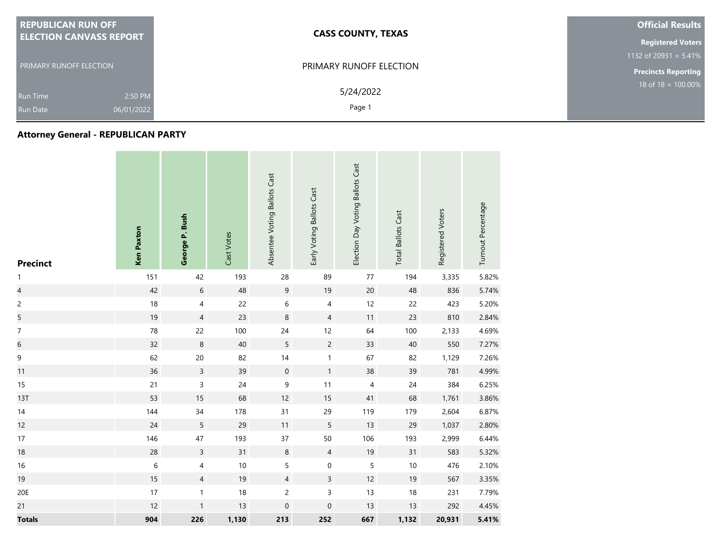| <b>REPUBLICAN RUN OFF</b>                                   | <b>CASS COUNTY, TEXAS</b> | <b>Official Results</b>    |
|-------------------------------------------------------------|---------------------------|----------------------------|
| <b>ELECTION CANVASS REPORT</b>                              |                           | <b>Registered Voters</b>   |
|                                                             |                           | 1132 of 20931 = $5.41\%$   |
| <b>PRIMARY RUNOFF ELECTION</b>                              | PRIMARY RUNOFF ELECTION   | <b>Precincts Reporting</b> |
| 2:50 PM<br><b>Run Time</b><br>06/01/2022<br><b>Run Date</b> | 5/24/2022<br>Page 1       | 18 of $18 = 100.00\%$      |
|                                                             |                           |                            |

## **Attorney General - REPUBLICAN PARTY**

| <b>Precinct</b>          | <b>Ken Paxton</b> | George P. Bush           | Cast Votes | Absentee Voting Ballots Cast | Early Voting Ballots Cast | Election Day Voting Ballots Cast | <b>Total Ballots Cast</b> | Registered Voters | Turnout Percentage |
|--------------------------|-------------------|--------------------------|------------|------------------------------|---------------------------|----------------------------------|---------------------------|-------------------|--------------------|
| $\mathbf{1}$             | 151               | 42                       | 193        | 28                           | 89                        | 77                               | 194                       | 3,335             | 5.82%              |
| $\overline{\mathcal{L}}$ | 42                | $\sqrt{6}$               | 48         | 9                            | 19                        | $20\,$                           | 48                        | 836               | 5.74%              |
| $\overline{c}$           | 18                | $\overline{4}$           | 22         | 6                            | 4                         | 12                               | 22                        | 423               | 5.20%              |
| 5                        | 19                | $\sqrt{4}$               | 23         | $\,8\,$                      | $\overline{4}$            | 11                               | 23                        | 810               | 2.84%              |
| $\boldsymbol{7}$         | 78                | 22                       | 100        | 24                           | 12                        | 64                               | 100                       | 2,133             | 4.69%              |
| $\,$ 6 $\,$              | 32                | $\,8\,$                  | 40         | $\mathsf S$                  | $\overline{c}$            | 33                               | $40\,$                    | 550               | 7.27%              |
| $\mathsf 9$              | 62                | $20\,$                   | 82         | $14$                         | $\mathbf{1}$              | 67                               | 82                        | 1,129             | 7.26%              |
| 11                       | 36                | $\mathsf{3}$             | 39         | $\mathbf 0$                  | $\mathbf{1}$              | 38                               | 39                        | 781               | 4.99%              |
| 15                       | 21                | 3                        | 24         | $\mathsf 9$                  | 11                        | $\overline{4}$                   | $24\,$                    | 384               | 6.25%              |
| <b>13T</b>               | 53                | 15                       | 68         | 12                           | 15                        | 41                               | 68                        | 1,761             | 3.86%              |
| 14                       | 144               | 34                       | 178        | 31                           | 29                        | 119                              | 179                       | 2,604             | 6.87%              |
| 12                       | 24                | $5\phantom{.0}$          | 29         | 11                           | 5                         | 13                               | 29                        | 1,037             | 2.80%              |
| 17                       | 146               | 47                       | 193        | 37                           | 50                        | 106                              | 193                       | 2,999             | 6.44%              |
| $18\,$                   | 28                | $\mathsf{3}$             | 31         | $\,8\,$                      | $\overline{4}$            | $19$                             | 31                        | 583               | 5.32%              |
| 16                       | $\,$ 6 $\,$       | 4                        | 10         | $\mathsf S$                  | $\pmb{0}$                 | $\sqrt{5}$                       | 10                        | 476               | 2.10%              |
| 19                       | 15                | $\overline{\mathcal{A}}$ | 19         | $\overline{4}$               | $\mathsf{3}$              | 12                               | 19                        | 567               | 3.35%              |
| 20E                      | 17                | $\mathbf{1}$             | 18         | $\overline{c}$               | 3                         | 13                               | 18                        | 231               | 7.79%              |
| 21                       | 12                | $\mathbf{1}$             | 13         | $\boldsymbol{0}$             | $\mathbf 0$               | 13                               | 13                        | 292               | 4.45%              |
| <b>Totals</b>            | 904               | 226                      | 1,130      | 213                          | 252                       | 667                              | 1,132                     | 20,931            | 5.41%              |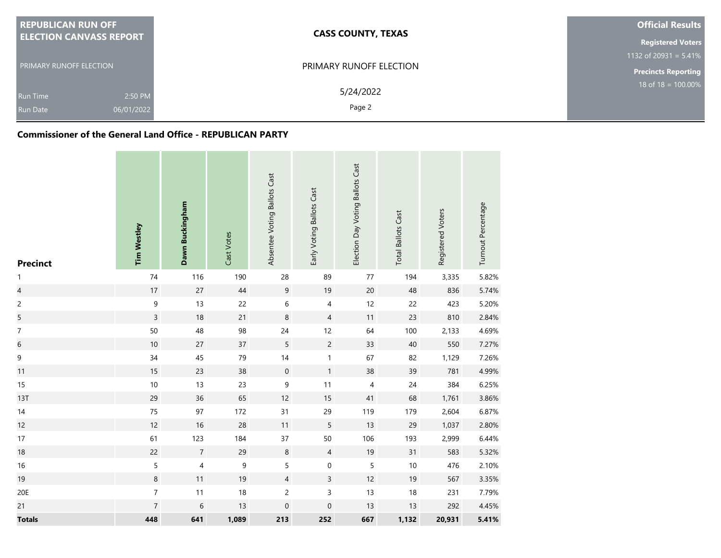| <b>REPUBLICAN RUN OFF</b>      | <b>CASS COUNTY, TEXAS</b>      | <b>Official Results</b>        |
|--------------------------------|--------------------------------|--------------------------------|
| <b>ELECTION CANVASS REPORT</b> |                                | <b>Registered Voters</b>       |
|                                |                                | 1132 of 20931 = $5.41\%$       |
| <b>PRIMARY RUNOFF ELECTION</b> | <b>PRIMARY RUNOFF ELECTION</b> | <b>Precincts Reporting</b>     |
| 2:50 PM<br><b>Run Time</b>     | 5/24/2022                      | $18 \text{ of } 18 = 100.00\%$ |
| 06/01/2022<br><b>Run Date</b>  | Page 2                         |                                |

## **Commissioner of the General Land Office - REPUBLICAN PARTY**

| <b>Precinct</b>          | <b>Tim Westley</b> | Dawn Buckingham | Cast Votes  | Absentee Voting Ballots Cast | Early Voting Ballots Cast | Election Day Voting Ballots Cast | <b>Total Ballots Cast</b> | Registered Voters | Turnout Percentage |
|--------------------------|--------------------|-----------------|-------------|------------------------------|---------------------------|----------------------------------|---------------------------|-------------------|--------------------|
| 1                        | 74                 | 116             | 190         | 28                           | 89                        | $77$                             | 194                       | 3,335             | 5.82%              |
| $\overline{\mathcal{L}}$ | $17\,$             | 27              | 44          | $\overline{9}$               | 19                        | 20                               | 48                        | 836               | 5.74%              |
| $\overline{c}$           | $\mathsf 9$        | 13              | 22          | 6                            | 4                         | 12                               | 22                        | 423               | 5.20%              |
| 5                        | $\overline{3}$     | 18              | 21          | 8                            | $\overline{4}$            | $11$                             | 23                        | 810               | 2.84%              |
| $\boldsymbol{7}$         | 50                 | 48              | 98          | 24                           | 12                        | 64                               | 100                       | 2,133             | 4.69%              |
| $\sqrt{6}$               | $10\,$             | $27\,$          | 37          | 5                            | $\overline{c}$            | 33                               | 40                        | 550               | 7.27%              |
| $\mathsf 9$              | 34                 | 45              | 79          | 14                           | $\mathbf{1}$              | 67                               | 82                        | 1,129             | 7.26%              |
| 11                       | 15                 | 23              | 38          | $\mathbf 0$                  | $\mathbf{1}$              | 38                               | 39                        | 781               | 4.99%              |
| 15                       | $10\,$             | 13              | 23          | 9                            | 11                        | $\overline{4}$                   | 24                        | 384               | 6.25%              |
| 13T                      | 29                 | 36              | 65          | 12                           | 15                        | 41                               | 68                        | 1,761             | 3.86%              |
| $14$                     | 75                 | 97              | 172         | 31                           | 29                        | 119                              | 179                       | 2,604             | 6.87%              |
| 12                       | 12                 | $16$            | 28          | 11                           | 5                         | 13                               | 29                        | 1,037             | 2.80%              |
| 17                       | 61                 | 123             | 184         | 37                           | 50                        | 106                              | 193                       | 2,999             | 6.44%              |
| 18                       | 22                 | $\sqrt{7}$      | 29          | $\,8\,$                      | $\overline{4}$            | 19                               | 31                        | 583               | 5.32%              |
| 16                       | $\sqrt{5}$         | 4               | $\mathsf 9$ | 5                            | $\mbox{O}$                | 5                                | $10$                      | 476               | 2.10%              |
| 19                       | $\bf 8$            | 11              | 19          | $\overline{4}$               | 3                         | 12                               | 19                        | 567               | 3.35%              |
| 20E                      | $\overline{7}$     | $11$            | 18          | $\overline{c}$               | $\mathsf 3$               | 13                               | 18                        | 231               | 7.79%              |
| 21                       | $\overline{7}$     | $\,$ 6 $\,$     | 13          | $\boldsymbol{0}$             | $\boldsymbol{0}$          | 13                               | 13                        | 292               | 4.45%              |
| <b>Totals</b>            | 448                | 641             | 1,089       | 213                          | 252                       | 667                              | 1,132                     | 20,931            | 5.41%              |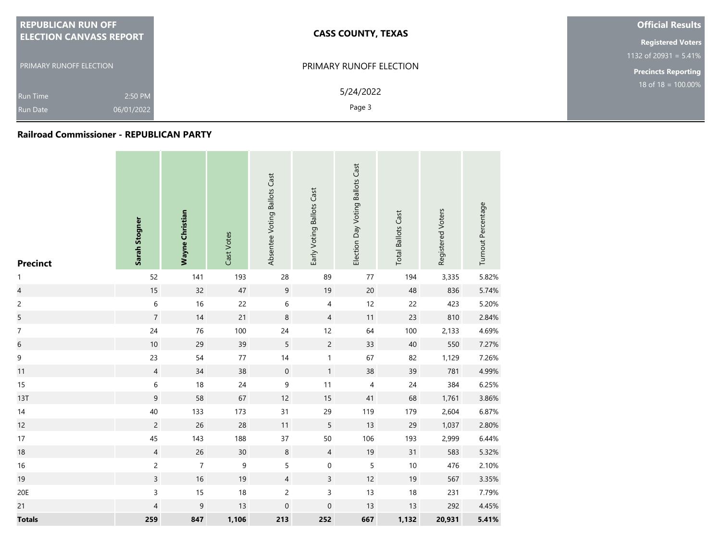| <b>REPUBLICAN RUN OFF</b>      | <b>CASS COUNTY, TEXAS</b> | <b>Official Results</b>    |  |
|--------------------------------|---------------------------|----------------------------|--|
| <b>ELECTION CANVASS REPORT</b> |                           |                            |  |
|                                |                           | 1132 of 20931 = $5.41\%$   |  |
| <b>PRIMARY RUNOFF ELECTION</b> | PRIMARY RUNOFF ELECTION   | <b>Precincts Reporting</b> |  |
| 2:50 PM<br><b>Run Time</b>     | 5/24/2022                 | 18 of $18 = 100.00\%$      |  |
| 06/01/2022<br><b>Run Date</b>  | Page 3                    |                            |  |

## **Railroad Commissioner - REPUBLICAN PARTY**

| <b>Precinct</b>          | Sarah Stogner  | <b>Wayne Christian</b> | Cast Votes | Absentee Voting Ballots Cast | Early Voting Ballots Cast | Election Day Voting Ballots Cast | <b>Total Ballots Cast</b> | Registered Voters | Turnout Percentage |
|--------------------------|----------------|------------------------|------------|------------------------------|---------------------------|----------------------------------|---------------------------|-------------------|--------------------|
| $\mathbf{1}$             | 52             | 141                    | 193        | 28                           | 89                        | 77                               | 194                       | 3,335             | 5.82%              |
| $\overline{\mathcal{L}}$ | 15             | 32                     | $47\,$     | $\mathsf 9$                  | 19                        | 20                               | 48                        | 836               | 5.74%              |
| $\overline{c}$           | $\,$ 6 $\,$    | $16$                   | 22         | $\,$ 6 $\,$                  | $\overline{4}$            | 12                               | 22                        | 423               | 5.20%              |
| 5                        | $\overline{7}$ | 14                     | 21         | $\,8\,$                      | $\overline{4}$            | $11$                             | 23                        | 810               | 2.84%              |
| $\overline{7}$           | 24             | 76                     | 100        | 24                           | 12                        | 64                               | 100                       | 2,133             | 4.69%              |
| $\,$ 6 $\,$              | $10$           | 29                     | 39         | 5                            | $\overline{c}$            | 33                               | 40                        | 550               | 7.27%              |
| $\mathsf 9$              | 23             | 54                     | 77         | 14                           | $\mathbf{1}$              | 67                               | 82                        | 1,129             | 7.26%              |
| 11                       | $\overline{4}$ | 34                     | 38         | $\mathbf 0$                  | $\mathbf{1}$              | 38                               | 39                        | 781               | 4.99%              |
| 15                       | 6              | $18$                   | 24         | 9                            | 11                        | $\overline{4}$                   | 24                        | 384               | 6.25%              |
| 13T                      | $\mathsf 9$    | 58                     | 67         | 12                           | $15$                      | 41                               | 68                        | 1,761             | 3.86%              |
| 14                       | 40             | 133                    | 173        | 31                           | 29                        | 119                              | 179                       | 2,604             | 6.87%              |
| 12                       | $\overline{c}$ | 26                     | 28         | 11                           | 5                         | 13                               | 29                        | 1,037             | 2.80%              |
| 17                       | 45             | 143                    | 188        | 37                           | 50                        | 106                              | 193                       | 2,999             | 6.44%              |
| 18                       | $\overline{4}$ | 26                     | $30\,$     | $\,8\,$                      | $\overline{4}$            | $19$                             | 31                        | 583               | 5.32%              |
| 16                       | $\overline{c}$ | $\boldsymbol{7}$       | 9          | 5                            | $\mathbf 0$               | 5                                | $10$                      | 476               | 2.10%              |
| 19                       | $\overline{3}$ | 16                     | 19         | $\overline{4}$               | $\mathsf{3}$              | 12                               | 19                        | 567               | 3.35%              |
| 20E                      | 3              | 15                     | 18         | $\overline{c}$               | 3                         | 13                               | $18\,$                    | 231               | 7.79%              |
| 21                       | $\overline{4}$ | $\mathsf 9$            | 13         | $\mathbf 0$                  | $\mbox{O}$                | 13                               | 13                        | 292               | 4.45%              |
| <b>Totals</b>            | 259            | 847                    | 1,106      | 213                          | 252                       | 667                              | 1,132                     | 20,931            | 5.41%              |